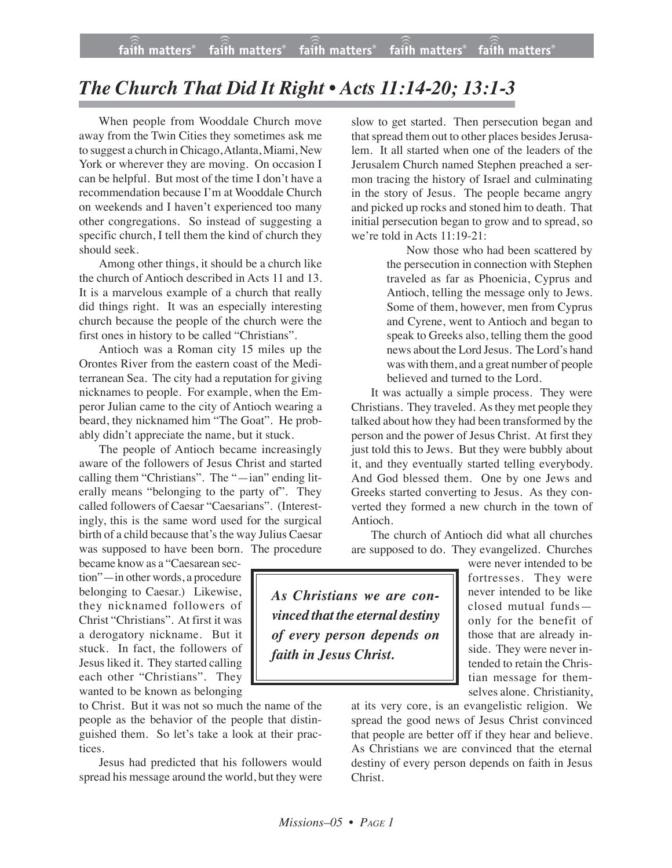## *The Church That Did It Right • Acts 11:14-20; 13:1-3*

When people from Wooddale Church move away from the Twin Cities they sometimes ask me to suggest a church inChicago,Atlanta, Miami, New York or wherever they are moving. On occasion I can be helpful. But most of the time I don't have a recommendation because I'm at Wooddale Church on weekends and I haven't experienced too many other congregations. So instead of suggesting a specific church, I tell them the kind of church they should seek.

Among other things, it should be a church like the church of Antioch described in Acts 11 and 13. It is a marvelous example of a church that really did things right. It was an especially interesting church because the people of the church were the first ones in history to be called "Christians".

Antioch was a Roman city 15 miles up the Orontes River from the eastern coast of the Mediterranean Sea. The city had a reputation for giving nicknames to people. For example, when the Emperor Julian came to the city of Antioch wearing a beard, they nicknamed him "The Goat". He probably didn't appreciate the name, but it stuck.

The people of Antioch became increasingly aware of the followers of Jesus Christ and started calling them "Christians". The "—ian" ending literally means "belonging to the party of". They called followers of Caesar "Caesarians". (Interestingly, this is the same word used for the surgical birth of a child because that's the way Julius Caesar was supposed to have been born. The procedure

became know as a "Caesarean section"—in other words, a procedure belonging to Caesar.) Likewise, they nicknamed followers of Christ "Christians". At first it was a derogatory nickname. But it stuck. In fact, the followers of Jesus liked it. They started calling each other "Christians". They wanted to be known as belonging

to Christ. But it was not so much the name of the people as the behavior of the people that distinguished them. So let's take a look at their practices.

Jesus had predicted that his followers would spread his message around the world, but they were slow to get started. Then persecution began and that spread them out to other places besides Jerusalem. It all started when one of the leaders of the Jerusalem Church named Stephen preached a sermon tracing the history of Israel and culminating in the story of Jesus. The people became angry and picked up rocks and stoned him to death. That initial persecution began to grow and to spread, so we're told in Acts 11:19-21:

Now those who had been scattered by the persecution in connection with Stephen traveled as far as Phoenicia, Cyprus and Antioch, telling the message only to Jews. Some of them, however, men from Cyprus and Cyrene, went to Antioch and began to speak to Greeks also, telling them the good news about the Lord Jesus. The Lord's hand was with them, and a great number of people believed and turned to the Lord.

It was actually a simple process. They were Christians. They traveled. Asthey met people they talked about how they had been transformed by the person and the power of Jesus Christ. At first they just told this to Jews. But they were bubbly about it, and they eventually started telling everybody. And God blessed them. One by one Jews and Greeks started converting to Jesus. As they converted they formed a new church in the town of Antioch.

The church of Antioch did what all churches are supposed to do. They evangelized. Churches

*As Christians we are convinced that the eternal destiny of every person depends on faith in Jesus Christ.*

were never intended to be fortresses. They were never intended to be like closed mutual funds only for the benefit of those that are already inside. They were never intended to retain the Christian message for themselves alone. Christianity,

at its very core, is an evangelistic religion. We spread the good news of Jesus Christ convinced that people are better off if they hear and believe. As Christians we are convinced that the eternal destiny of every person depends on faith in Jesus Christ.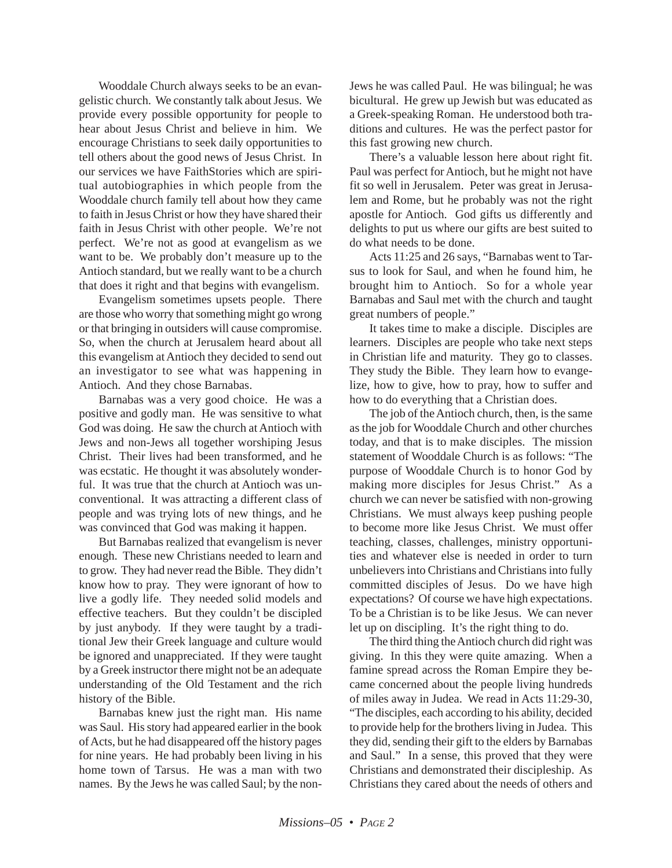Wooddale Church always seeks to be an evangelistic church. We constantly talk about Jesus. We provide every possible opportunity for people to hear about Jesus Christ and believe in him. We encourage Christians to seek daily opportunities to tell others about the good news of Jesus Christ. In our services we have FaithStories which are spiritual autobiographies in which people from the Wooddale church family tell about how they came to faith in Jesus Christ or how they have shared their faith in Jesus Christ with other people. We're not perfect. We're not as good at evangelism as we want to be. We probably don't measure up to the Antioch standard, but we really want to be a church that does it right and that begins with evangelism.

Evangelism sometimes upsets people. There are those who worry that something might go wrong or that bringing in outsiders will cause compromise. So, when the church at Jerusalem heard about all this evangelism at Antioch they decided to send out an investigator to see what was happening in Antioch. And they chose Barnabas.

Barnabas was a very good choice. He was a positive and godly man. He was sensitive to what God was doing. He saw the church at Antioch with Jews and non-Jews all together worshiping Jesus Christ. Their lives had been transformed, and he was ecstatic. He thought it was absolutely wonderful. It was true that the church at Antioch was unconventional. It was attracting a different class of people and was trying lots of new things, and he was convinced that God was making it happen.

But Barnabas realized that evangelism is never enough. These new Christians needed to learn and to grow. They had never read the Bible. They didn't know how to pray. They were ignorant of how to live a godly life. They needed solid models and effective teachers. But they couldn't be discipled by just anybody. If they were taught by a traditional Jew their Greek language and culture would be ignored and unappreciated. If they were taught by a Greek instructor there might not be an adequate understanding of the Old Testament and the rich history of the Bible.

Barnabas knew just the right man. His name was Saul. His story had appeared earlier in the book of Acts, but he had disappeared off the history pages for nine years. He had probably been living in his home town of Tarsus. He was a man with two names. By the Jews he was called Saul; by the nonJews he was called Paul. He was bilingual; he was bicultural. He grew up Jewish but was educated as a Greek-speaking Roman. He understood both traditions and cultures. He was the perfect pastor for this fast growing new church.

There's a valuable lesson here about right fit. Paul was perfect for Antioch, but he might not have fit so well in Jerusalem. Peter was great in Jerusalem and Rome, but he probably was not the right apostle for Antioch. God gifts us differently and delights to put us where our gifts are best suited to do what needs to be done.

Acts 11:25 and 26 says, "Barnabas went to Tarsus to look for Saul, and when he found him, he brought him to Antioch. So for a whole year Barnabas and Saul met with the church and taught great numbers of people."

It takes time to make a disciple. Disciples are learners. Disciples are people who take next steps in Christian life and maturity. They go to classes. They study the Bible. They learn how to evangelize, how to give, how to pray, how to suffer and how to do everything that a Christian does.

The job of the Antioch church, then, is the same as the job for Wooddale Church and other churches today, and that is to make disciples. The mission statement of Wooddale Church is as follows: "The purpose of Wooddale Church is to honor God by making more disciples for Jesus Christ." As a church we can never be satisfied with non-growing Christians. We must always keep pushing people to become more like Jesus Christ. We must offer teaching, classes, challenges, ministry opportunities and whatever else is needed in order to turn unbelievers into Christians and Christians into fully committed disciples of Jesus. Do we have high expectations? Of course we have high expectations. To be a Christian is to be like Jesus. We can never let up on discipling. It's the right thing to do.

The third thing the Antioch church did right was giving. In this they were quite amazing. When a famine spread across the Roman Empire they became concerned about the people living hundreds of miles away in Judea. We read in Acts 11:29-30, "The disciples, each according to his ability, decided to provide help for the brothers living in Judea. This they did, sending their gift to the elders by Barnabas and Saul." In a sense, this proved that they were Christians and demonstrated their discipleship. As Christians they cared about the needs of others and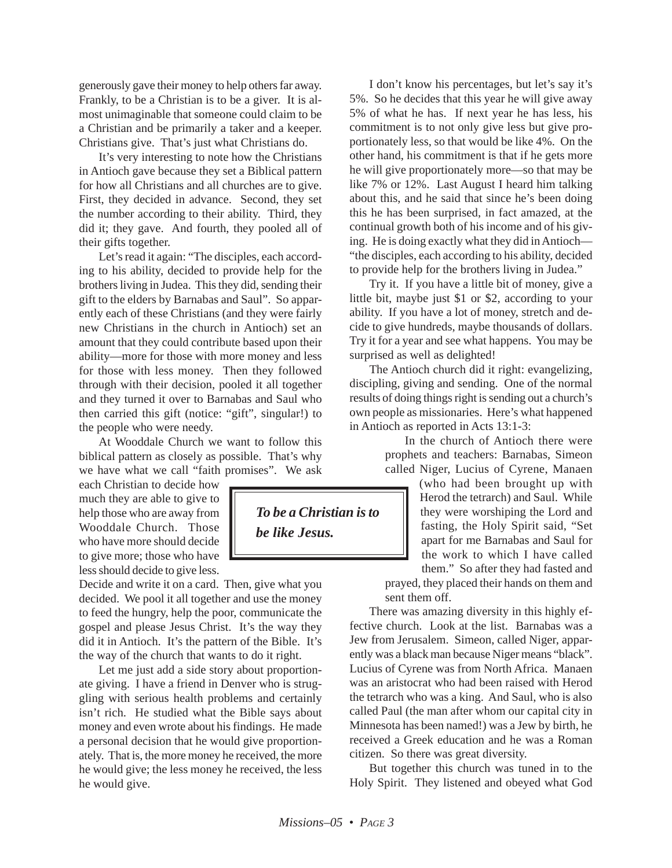generously gave their money to help others far away. Frankly, to be a Christian is to be a giver. It is almost unimaginable that someone could claim to be a Christian and be primarily a taker and a keeper. Christians give. That's just what Christians do.

It's very interesting to note how the Christians in Antioch gave because they set a Biblical pattern for how all Christians and all churches are to give. First, they decided in advance. Second, they set the number according to their ability. Third, they did it; they gave. And fourth, they pooled all of their gifts together.

Let's read it again: "The disciples, each according to his ability, decided to provide help for the brothers living in Judea. This they did, sending their gift to the elders by Barnabas and Saul". So apparently each of these Christians (and they were fairly new Christians in the church in Antioch) set an amount that they could contribute based upon their ability—more for those with more money and less for those with less money. Then they followed through with their decision, pooled it all together and they turned it over to Barnabas and Saul who then carried this gift (notice: "gift", singular!) to the people who were needy.

At Wooddale Church we want to follow this biblical pattern as closely as possible. That's why we have what we call "faith promises". We ask

each Christian to decide how much they are able to give to help those who are away from Wooddale Church. Those who have more should decide to give more; those who have less should decide to give less.

Decide and write it on a card. Then, give what you decided. We pool it all together and use the money to feed the hungry, help the poor, communicate the gospel and please Jesus Christ. It's the way they did it in Antioch. It's the pattern of the Bible. It's the way of the church that wants to do it right.

Let me just add a side story about proportionate giving. I have a friend in Denver who is struggling with serious health problems and certainly isn't rich. He studied what the Bible says about money and even wrote about his findings. He made a personal decision that he would give proportionately. That is, the more money he received, the more he would give; the less money he received, the less he would give.

*To be a Christian is to be like Jesus.*

I don't know his percentages, but let's say it's 5%. So he decides that this year he will give away 5% of what he has. If next year he has less, his commitment is to not only give less but give proportionately less, so that would be like 4%. On the other hand, his commitment is that if he gets more he will give proportionately more—so that may be like 7% or 12%. Last August I heard him talking about this, and he said that since he's been doing this he has been surprised, in fact amazed, at the continual growth both of his income and of his giving. He is doing exactly what they did in Antioch— "the disciples, each according to his ability, decided to provide help for the brothers living in Judea."

Try it. If you have a little bit of money, give a little bit, maybe just \$1 or \$2, according to your ability. If you have a lot of money, stretch and decide to give hundreds, maybe thousands of dollars. Try it for a year and see what happens. You may be surprised as well as delighted!

The Antioch church did it right: evangelizing, discipling, giving and sending. One of the normal results of doing things right is sending out a church's own people as missionaries. Here's what happened in Antioch as reported in Acts 13:1-3:

> In the church of Antioch there were prophets and teachers: Barnabas, Simeon called Niger, Lucius of Cyrene, Manaen

> (who had been brought up with Herod the tetrarch) and Saul. While they were worshiping the Lord and fasting, the Holy Spirit said, "Set apart for me Barnabas and Saul for the work to which I have called them." So after they had fasted and prayed, they placed their hands on them and

sent them off.

There was amazing diversity in this highly effective church. Look at the list. Barnabas was a Jew from Jerusalem. Simeon, called Niger, apparently was a black man because Niger means "black". Lucius of Cyrene was from North Africa. Manaen was an aristocrat who had been raised with Herod the tetrarch who was a king. And Saul, who is also called Paul (the man after whom our capital city in Minnesota has been named!) was a Jew by birth, he received a Greek education and he was a Roman citizen. So there was great diversity.

But together this church was tuned in to the Holy Spirit. They listened and obeyed what God